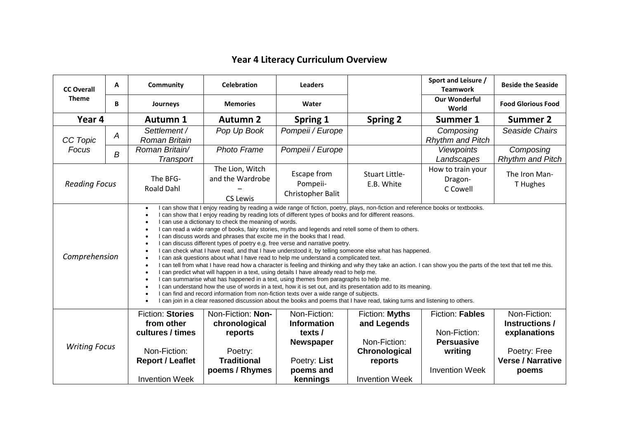## **Year 4 Literacy Curriculum Overview**

| <b>CC Overall</b><br><b>Theme</b>                                                                                                                                                                                                                         | A                                                     | Community                                                                                                                                                                                                                                                                                                                                                                                                                                                                                                                                                                                                                                                                                                                                                                                                                                                                                                                                                                                                                                                                                                                                                                                                                                                                                                                                                                                                                                                                   | <b>Celebration</b>                                                                                 | <b>Leaders</b>                                                                                  |                                                                                                     | Sport and Leisure /<br><b>Teamwork</b>   | <b>Beside the Seaside</b>            |  |  |
|-----------------------------------------------------------------------------------------------------------------------------------------------------------------------------------------------------------------------------------------------------------|-------------------------------------------------------|-----------------------------------------------------------------------------------------------------------------------------------------------------------------------------------------------------------------------------------------------------------------------------------------------------------------------------------------------------------------------------------------------------------------------------------------------------------------------------------------------------------------------------------------------------------------------------------------------------------------------------------------------------------------------------------------------------------------------------------------------------------------------------------------------------------------------------------------------------------------------------------------------------------------------------------------------------------------------------------------------------------------------------------------------------------------------------------------------------------------------------------------------------------------------------------------------------------------------------------------------------------------------------------------------------------------------------------------------------------------------------------------------------------------------------------------------------------------------------|----------------------------------------------------------------------------------------------------|-------------------------------------------------------------------------------------------------|-----------------------------------------------------------------------------------------------------|------------------------------------------|--------------------------------------|--|--|
|                                                                                                                                                                                                                                                           | B                                                     | Journeys                                                                                                                                                                                                                                                                                                                                                                                                                                                                                                                                                                                                                                                                                                                                                                                                                                                                                                                                                                                                                                                                                                                                                                                                                                                                                                                                                                                                                                                                    | <b>Memories</b>                                                                                    | Water                                                                                           |                                                                                                     | <b>Our Wonderful</b><br>World            | <b>Food Glorious Food</b>            |  |  |
| Year 4                                                                                                                                                                                                                                                    |                                                       | <b>Autumn 1</b>                                                                                                                                                                                                                                                                                                                                                                                                                                                                                                                                                                                                                                                                                                                                                                                                                                                                                                                                                                                                                                                                                                                                                                                                                                                                                                                                                                                                                                                             | <b>Autumn 2</b>                                                                                    | Spring 1                                                                                        | <b>Spring 2</b>                                                                                     | Summer 1                                 | <b>Summer 2</b>                      |  |  |
| CC Topic<br>Focus                                                                                                                                                                                                                                         | A                                                     | Settlement /<br>Roman Britain                                                                                                                                                                                                                                                                                                                                                                                                                                                                                                                                                                                                                                                                                                                                                                                                                                                                                                                                                                                                                                                                                                                                                                                                                                                                                                                                                                                                                                               | Pop Up Book                                                                                        | Pompeii / Europe                                                                                |                                                                                                     | Composing<br><b>Rhythm and Pitch</b>     | Seaside Chairs                       |  |  |
|                                                                                                                                                                                                                                                           | B                                                     | Roman Britain/<br>Transport                                                                                                                                                                                                                                                                                                                                                                                                                                                                                                                                                                                                                                                                                                                                                                                                                                                                                                                                                                                                                                                                                                                                                                                                                                                                                                                                                                                                                                                 | <b>Photo Frame</b>                                                                                 | Pompeii / Europe                                                                                |                                                                                                     | <b>Viewpoints</b><br>Landscapes          | Composing<br><b>Rhythm and Pitch</b> |  |  |
|                                                                                                                                                                                                                                                           | The BFG-<br><b>Reading Focus</b><br><b>Roald Dahl</b> |                                                                                                                                                                                                                                                                                                                                                                                                                                                                                                                                                                                                                                                                                                                                                                                                                                                                                                                                                                                                                                                                                                                                                                                                                                                                                                                                                                                                                                                                             | The Lion, Witch<br>and the Wardrobe<br><b>CS Lewis</b>                                             | <b>Escape from</b><br>Pompeii-<br>Christopher Balit                                             | <b>Stuart Little-</b><br>E.B. White                                                                 | How to train your<br>Dragon-<br>C Cowell | The Iron Man-<br>T Hughes            |  |  |
| Comprehension                                                                                                                                                                                                                                             |                                                       | I can show that I enjoy reading by reading a wide range of fiction, poetry, plays, non-fiction and reference books or textbooks.<br>I can show that I enjoy reading by reading lots of different types of books and for different reasons.<br>I can use a dictionary to check the meaning of words.<br>I can read a wide range of books, fairy stories, myths and legends and retell some of them to others.<br>I can discuss words and phrases that excite me in the books that I read.<br>I can discuss different types of poetry e.g. free verse and narrative poetry.<br>I can check what I have read, and that I have understood it, by telling someone else what has happened.<br>I can ask questions about what I have read to help me understand a complicated text.<br>I can tell from what I have read how a character is feeling and thinking and why they take an action. I can show you the parts of the text that tell me this.<br>I can predict what will happen in a text, using details I have already read to help me.<br>I can summarise what has happened in a text, using themes from paragraphs to help me.<br>I can understand how the use of words in a text, how it is set out, and its presentation add to its meaning.<br>I can find and record information from non-fiction texts over a wide range of subjects.<br>I can join in a clear reasoned discussion about the books and poems that I have read, taking turns and listening to others. |                                                                                                    |                                                                                                 |                                                                                                     |                                          |                                      |  |  |
| <b>Fiction: Stories</b><br>Non-Fiction: Non-<br>from other<br>chronological<br>cultures / times<br>reports<br><b>Writing Focus</b><br>Non-Fiction:<br>Poetry:<br><b>Traditional</b><br><b>Report / Leaflet</b><br>poems / Rhymes<br><b>Invention Week</b> |                                                       | Non-Fiction:<br><b>Information</b><br>texts /<br><b>Newspaper</b><br>Poetry: List<br>poems and<br>kennings                                                                                                                                                                                                                                                                                                                                                                                                                                                                                                                                                                                                                                                                                                                                                                                                                                                                                                                                                                                                                                                                                                                                                                                                                                                                                                                                                                  | Fiction: Myths<br>and Legends<br>Non-Fiction:<br>Chronological<br>reports<br><b>Invention Week</b> | <b>Fiction: Fables</b><br>Non-Fiction:<br><b>Persuasive</b><br>writing<br><b>Invention Week</b> | Non-Fiction:<br>Instructions /<br>explanations<br>Poetry: Free<br><b>Verse / Narrative</b><br>poems |                                          |                                      |  |  |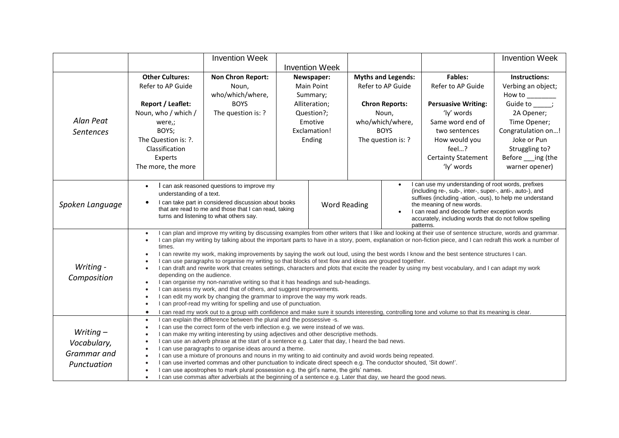|                                                          |                                                                                                                                                                                                                                                                                                                                                                                                                                                                                                                                                                                                                                                                                                                                                                                                                                                                                                                                                                                                                                                                                                                                                                                                                                                                                                    | <b>Invention Week</b>                                                                                                                                                                                  |            |                       |                                                                                                                                                                                                                                                                                                                                                                      |                           |                            | <b>Invention Week</b>              |
|----------------------------------------------------------|----------------------------------------------------------------------------------------------------------------------------------------------------------------------------------------------------------------------------------------------------------------------------------------------------------------------------------------------------------------------------------------------------------------------------------------------------------------------------------------------------------------------------------------------------------------------------------------------------------------------------------------------------------------------------------------------------------------------------------------------------------------------------------------------------------------------------------------------------------------------------------------------------------------------------------------------------------------------------------------------------------------------------------------------------------------------------------------------------------------------------------------------------------------------------------------------------------------------------------------------------------------------------------------------------|--------------------------------------------------------------------------------------------------------------------------------------------------------------------------------------------------------|------------|-----------------------|----------------------------------------------------------------------------------------------------------------------------------------------------------------------------------------------------------------------------------------------------------------------------------------------------------------------------------------------------------------------|---------------------------|----------------------------|------------------------------------|
|                                                          |                                                                                                                                                                                                                                                                                                                                                                                                                                                                                                                                                                                                                                                                                                                                                                                                                                                                                                                                                                                                                                                                                                                                                                                                                                                                                                    |                                                                                                                                                                                                        |            | <b>Invention Week</b> |                                                                                                                                                                                                                                                                                                                                                                      |                           |                            |                                    |
|                                                          | <b>Other Cultures:</b>                                                                                                                                                                                                                                                                                                                                                                                                                                                                                                                                                                                                                                                                                                                                                                                                                                                                                                                                                                                                                                                                                                                                                                                                                                                                             | <b>Non Chron Report:</b>                                                                                                                                                                               | Newspaper: |                       |                                                                                                                                                                                                                                                                                                                                                                      | <b>Myths and Legends:</b> | <b>Fables:</b>             | Instructions:                      |
|                                                          | Refer to AP Guide                                                                                                                                                                                                                                                                                                                                                                                                                                                                                                                                                                                                                                                                                                                                                                                                                                                                                                                                                                                                                                                                                                                                                                                                                                                                                  | Noun,                                                                                                                                                                                                  | Main Point |                       |                                                                                                                                                                                                                                                                                                                                                                      | Refer to AP Guide         | Refer to AP Guide          | Verbing an object;                 |
|                                                          |                                                                                                                                                                                                                                                                                                                                                                                                                                                                                                                                                                                                                                                                                                                                                                                                                                                                                                                                                                                                                                                                                                                                                                                                                                                                                                    | who/which/where,                                                                                                                                                                                       |            | Summary;              |                                                                                                                                                                                                                                                                                                                                                                      |                           |                            |                                    |
|                                                          | <b>Report / Leaflet:</b>                                                                                                                                                                                                                                                                                                                                                                                                                                                                                                                                                                                                                                                                                                                                                                                                                                                                                                                                                                                                                                                                                                                                                                                                                                                                           | <b>BOYS</b>                                                                                                                                                                                            |            | Alliteration;         | <b>Chron Reports:</b>                                                                                                                                                                                                                                                                                                                                                |                           | <b>Persuasive Writing:</b> | $How to ________Guide to ________$ |
|                                                          | Noun, who / which /                                                                                                                                                                                                                                                                                                                                                                                                                                                                                                                                                                                                                                                                                                                                                                                                                                                                                                                                                                                                                                                                                                                                                                                                                                                                                | The question is: ?                                                                                                                                                                                     |            | Question?;            | Noun,                                                                                                                                                                                                                                                                                                                                                                |                           | 'ly' words                 | 2A Opener;                         |
| Alan Peat<br><b>Sentences</b>                            | were,;                                                                                                                                                                                                                                                                                                                                                                                                                                                                                                                                                                                                                                                                                                                                                                                                                                                                                                                                                                                                                                                                                                                                                                                                                                                                                             |                                                                                                                                                                                                        | Emotive    |                       | who/which/where,                                                                                                                                                                                                                                                                                                                                                     |                           | Same word end of           | Time Opener;                       |
|                                                          | BOYS;                                                                                                                                                                                                                                                                                                                                                                                                                                                                                                                                                                                                                                                                                                                                                                                                                                                                                                                                                                                                                                                                                                                                                                                                                                                                                              |                                                                                                                                                                                                        |            | Exclamation!          |                                                                                                                                                                                                                                                                                                                                                                      | <b>BOYS</b>               | two sentences              | Congratulation on!                 |
|                                                          | The Question is: ?.                                                                                                                                                                                                                                                                                                                                                                                                                                                                                                                                                                                                                                                                                                                                                                                                                                                                                                                                                                                                                                                                                                                                                                                                                                                                                |                                                                                                                                                                                                        |            | Ending                |                                                                                                                                                                                                                                                                                                                                                                      | The question is: ?        | How would you              | Joke or Pun                        |
|                                                          | Classification                                                                                                                                                                                                                                                                                                                                                                                                                                                                                                                                                                                                                                                                                                                                                                                                                                                                                                                                                                                                                                                                                                                                                                                                                                                                                     |                                                                                                                                                                                                        |            |                       |                                                                                                                                                                                                                                                                                                                                                                      |                           | feel?                      | Struggling to?                     |
|                                                          | Experts                                                                                                                                                                                                                                                                                                                                                                                                                                                                                                                                                                                                                                                                                                                                                                                                                                                                                                                                                                                                                                                                                                                                                                                                                                                                                            |                                                                                                                                                                                                        |            |                       |                                                                                                                                                                                                                                                                                                                                                                      |                           | <b>Certainty Statement</b> | Before ___ ing (the                |
|                                                          | The more, the more                                                                                                                                                                                                                                                                                                                                                                                                                                                                                                                                                                                                                                                                                                                                                                                                                                                                                                                                                                                                                                                                                                                                                                                                                                                                                 |                                                                                                                                                                                                        |            |                       |                                                                                                                                                                                                                                                                                                                                                                      |                           | 'ly' words                 | warner opener)                     |
|                                                          |                                                                                                                                                                                                                                                                                                                                                                                                                                                                                                                                                                                                                                                                                                                                                                                                                                                                                                                                                                                                                                                                                                                                                                                                                                                                                                    |                                                                                                                                                                                                        |            |                       |                                                                                                                                                                                                                                                                                                                                                                      |                           |                            |                                    |
| Spoken Language                                          | $\bullet$<br>understanding of a text.                                                                                                                                                                                                                                                                                                                                                                                                                                                                                                                                                                                                                                                                                                                                                                                                                                                                                                                                                                                                                                                                                                                                                                                                                                                              | I can ask reasoned questions to improve my<br>I can take part in considered discussion about books<br>that are read to me and those that I can read, taking<br>turns and listening to what others say. |            |                       | I can use my understanding of root words, prefixes<br>(including re-, sub-, inter-, super-, anti-, auto-), and<br>suffixes (including -ation, -ous), to help me understand<br><b>Word Reading</b><br>the meaning of new words.<br>I can read and decode further exception words<br>$\bullet$<br>accurately, including words that do not follow spelling<br>patterns. |                           |                            |                                    |
| Writing -<br>Composition                                 | I can plan and improve my writing by discussing examples from other writers that I like and looking at their use of sentence structure, words and grammar.<br>I can plan my writing by talking about the important parts to have in a story, poem, explanation or non-fiction piece, and I can redraft this work a number of<br>times.<br>I can rewrite my work, making improvements by saying the work out loud, using the best words I know and the best sentence structures I can.<br>I can use paragraphs to organise my writing so that blocks of text flow and ideas are grouped together.<br>I can draft and rewrite work that creates settings, characters and plots that excite the reader by using my best vocabulary, and I can adapt my work<br>depending on the audience.<br>I can organise my non-narrative writing so that it has headings and sub-headings.<br>I can assess my work, and that of others, and suggest improvements.<br>$\bullet$<br>I can edit my work by changing the grammar to improve the way my work reads.<br>I can proof-read my writing for spelling and use of punctuation.<br>$\epsilon$<br>I can read my work out to a group with confidence and make sure it sounds interesting, controlling tone and volume so that its meaning is clear.<br>$\bullet$ |                                                                                                                                                                                                        |            |                       |                                                                                                                                                                                                                                                                                                                                                                      |                           |                            |                                    |
| Writing $-$<br>Vocabulary,<br>Grammar and<br>Punctuation | I can explain the difference between the plural and the possessive -s.<br>$\bullet$<br>I can use the correct form of the verb inflection e.g. we were instead of we was.<br>I can make my writing interesting by using adjectives and other descriptive methods.<br>I can use an adverb phrase at the start of a sentence e.g. Later that day, I heard the bad news.<br>$\epsilon$<br>I can use paragraphs to organise ideas around a theme.<br>I can use a mixture of pronouns and nouns in my writing to aid continuity and avoid words being repeated.<br>I can use inverted commas and other punctuation to indicate direct speech e.g. The conductor shouted, 'Sit down!'.<br>I can use apostrophes to mark plural possession e.g. the girl's name, the girls' names.<br>I can use commas after adverbials at the beginning of a sentence e.g. Later that day, we heard the good news.                                                                                                                                                                                                                                                                                                                                                                                                        |                                                                                                                                                                                                        |            |                       |                                                                                                                                                                                                                                                                                                                                                                      |                           |                            |                                    |